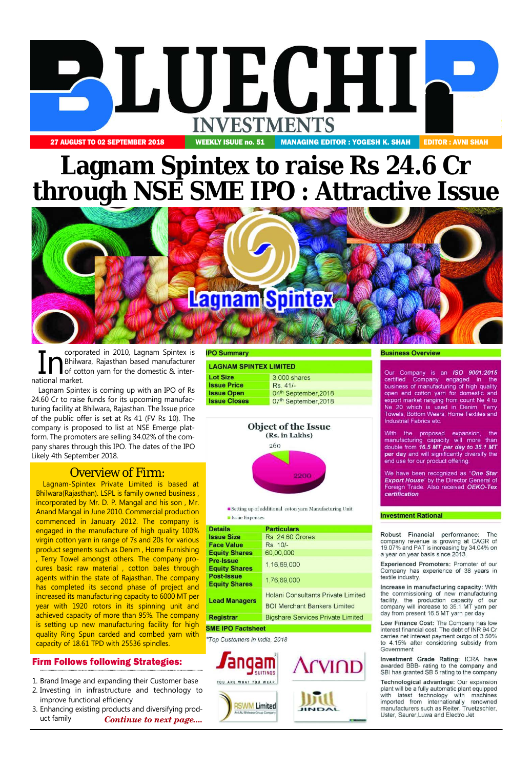

# **Lagnam Spintex to raise Rs 24.6 Cr through NSE SME IPO : Attractive Issue**



**In Corporated in 2010, Lagnam Spintex is**<br>**of cotton yarn for the domestic & inter-**<br>**of cotton yarn for the domestic & inter-**Bhilwara, Rajasthan based manufacturer national market.

Lagnam Spintex is coming up with an IPO of Rs 24.60 Cr to raise funds for its upcoming manufacturing facility at Bhilwara, Rajasthan. The Issue price of the public offer is set at Rs 41 (FV Rs 10). The company is proposed to list at NSE Emerge platform. The promoters are selling 34.02% of the company shares through this IPO. The dates of the IPO Likely 4th September 2018.

# Overview of Firm:

Lagnam-Spintex Private Limited is based at Bhilwara(Rajasthan). LSPL is family owned business , incorporated by Mr. D. P. Mangal and his son , Mr. Anand Mangal in June 2010. Commercial production commenced in January 2012. The company is engaged in the manufacture of high quality 100% virgin cotton yarn in range of 7s and 20s for various product segments such as Denim , Home Furnishing , Terry Towel amongst others. The company procures basic raw material , cotton bales through agents within the state of Rajasthan. The company has completed its second phase of project and increased its manufacturing capacity to 6000 MT per year with 1920 rotors in its spinning unit and achieved capacity of more than 95%. The company is setting up new manufacturing facility for high quality Ring Spun carded and combed yarn with capacity of 18.61 TPD with 25536 spindles.

## Firm Follows following Strategies:

- 1. Brand Image and expanding their Customer base
- 2. Investing in infrastructure and technology to improve functional efficiency
- 3. Enhancing existing products and diversifying product family *Continue to next page....*

#### **PO Summary**

#### **LAGNAM SPINTEX LIMITED**

| <b>Lot Size</b>     | 3,000 shares         |  |  |
|---------------------|----------------------|--|--|
| <b>Issue Price</b>  | Rs. 41/-             |  |  |
| <b>Issue Open</b>   | 04th September, 2018 |  |  |
| <b>Issue Closes</b> | 07th September, 2018 |  |  |
|                     |                      |  |  |

# **Object of the Issue** (Rs. in Lakhs)



Setting up of additional coton yarn Manufacturing Unit **B** Issue Expenses

| <b>Details</b>                            | <b>Particulars</b>                                                               |
|-------------------------------------------|----------------------------------------------------------------------------------|
| <b>Issue Size</b>                         | <b>Rs. 24.60 Crores</b>                                                          |
| Face Value                                | Rs. 10/-                                                                         |
| <b>Equity Shares</b>                      | 60,00,000                                                                        |
| <b>Pre-Issue</b><br><b>Equity Shares</b>  | 1,16,69,000                                                                      |
| <b>Post-Issue</b><br><b>Equity Shares</b> | 1,76,69,000                                                                      |
| <b>Lead Managers</b>                      | <b>Holani Consultants Private Limited</b><br><b>BOI Merchant Bankers Limited</b> |
| <b>Registrar</b>                          | <b>Bigshare Services Private Limited</b>                                         |
| <b>MF IPO Factsheet</b>                   |                                                                                  |

\*Top Customers in India, 2018



#### **Business Overview**

Our Company is an ISO 9001:2015 certified Company engaged in the business of manufacturing of high quality open end cotton yarn for domestic and export market ranging from count Ne 4 to Ne 20 which is used in Denim, Terry Towels, Bottom Wears, Home Textiles and **Industrial Fabrics etc** 

With the proposed expansion, the manufacturing capacity will more than double from 16.5 MT per day to 35.1 MT per day and will significantly diversify the end use for our product offering.

We have been recognized as "One Star **Export House**" by the Director General of Foreign Trade. Also received OEKO-Tex certification

#### **Investment Rational**

Robust Financial performance: The company revenue is growing at CAGR of 19.07% and PAT is increasing by 34.04% on a year on year basis since 2013.

Experienced Promoters: Promoter of our Company has experience of 38 years in textile industry.

Increase in manufacturing capacity: With the commissioning of new manufacturing facility, the production capacity of our company will increase to 35.1 MT yarn per day from present 16.5 MT yarn per day

Low Finance Cost: The Company has low interest financial cost. The debt of INR 94 Cr carries net interest payment outgo of 3.50% to 4.15% after considering subsidy from Government

Investment Grade Rating: ICRA have awarded BBB- rating to the company and SBI has granted SB 5 rating to the company

Technological advantage: Our expansion plant will be a fully automatic plant equipped with latest technology with machines imported from internationally renowned manufacturers such as Reiter, Truetzschler, Uster, Saurer, Luwa and Electro Jet